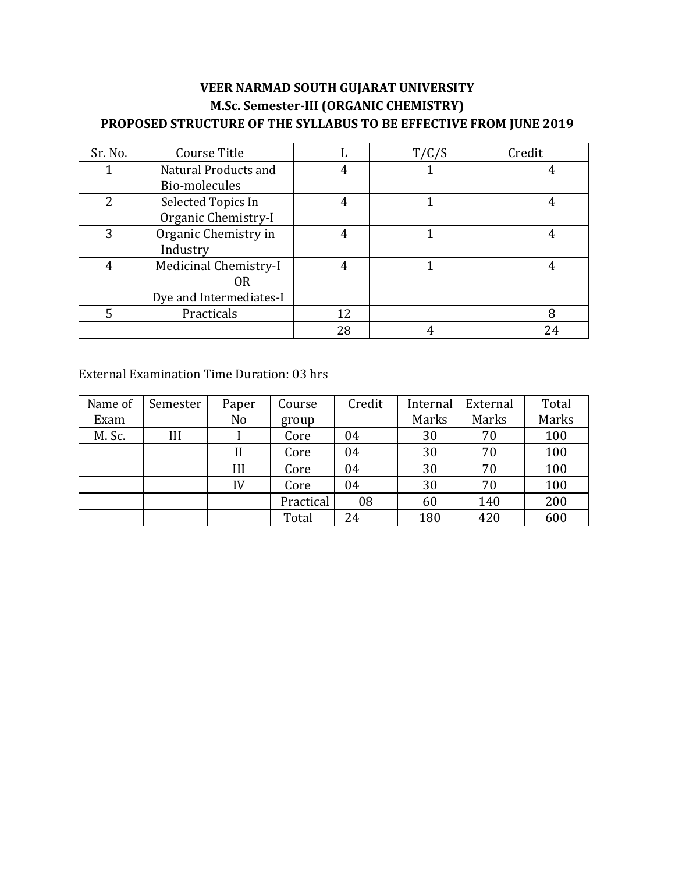| Sr. No.        | Course Title            |    | T/C/S | Credit |
|----------------|-------------------------|----|-------|--------|
|                | Natural Products and    |    |       |        |
|                | Bio-molecules           |    |       |        |
| $\overline{2}$ | Selected Topics In      | 4  |       |        |
|                | Organic Chemistry-I     |    |       |        |
| 3              | Organic Chemistry in    | 4  |       |        |
|                | Industry                |    |       |        |
| 4              | Medicinal Chemistry-I   |    |       |        |
|                | 0R                      |    |       |        |
|                | Dye and Intermediates-I |    |       |        |
| 5              | Practicals              | 12 |       |        |
|                |                         | 28 |       | 24     |

#### External Examination Time Duration: 03 hrs

| Name of | Semester | Paper | Course    | Credit | Internal | External | Total |
|---------|----------|-------|-----------|--------|----------|----------|-------|
| Exam    |          | No    | group     |        | Marks    | Marks    | Marks |
| M. Sc.  | Ш        |       | Core      | 04     | 30       | 70       | 100   |
|         |          |       | Core      | 04     | 30       | 70       | 100   |
|         |          | III   | Core      | 04     | 30       | 70       | 100   |
|         |          | IV    | Core      | 04     | 30       | 70       | 100   |
|         |          |       | Practical | 08     | 60       | 140      | 200   |
|         |          |       | Total     | 24     | 180      | 420      | 600   |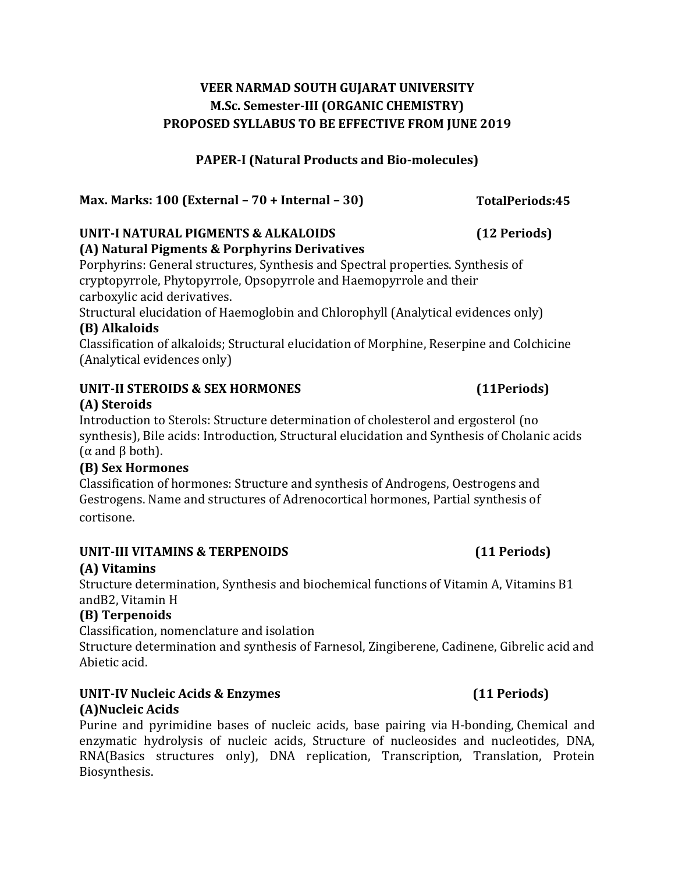#### **PAPER-I (Natural Products and Bio-molecules)**

**Max. Marks: 100 (External – 70 + Internal – 30)**

# **UNIT-I NATURAL PIGMENTS & ALKALOIDS (12 Periods)**

#### **(A) Natural Pigments & Porphyrins Derivatives**

Porphyrins: General structures, Synthesis and Spectral properties. Synthesis of cryptopyrrole, Phytopyrrole, Opsopyrrole and Haemopyrrole and their carboxylic acid derivatives.

Structural elucidation of Haemoglobin and Chlorophyll (Analytical evidences only) **(B) Alkaloids**

Classification of alkaloids; Structural elucidation of Morphine, Reserpine and Colchicine (Analytical evidences only)

#### **UNIT-II STEROIDS & SEX HORMONES (11Periods)**

### **(A) Steroids**

Introduction to Sterols: Structure determination of cholesterol and ergosterol (no synthesis), Bile acids: Introduction, Structural elucidation and Synthesis of Cholanic acids (α and β both).

#### **(B) Sex Hormones**

Classification of hormones: Structure and synthesis of Androgens, Oestrogens and Gestrogens. Name and structures of Adrenocortical hormones, Partial synthesis of cortisone.

# **UNIT-III VITAMINS & TERPENOIDS (11 Periods)**

### **(A) Vitamins**

Structure determination, Synthesis and biochemical functions of Vitamin A, Vitamins B1 andB2, Vitamin H

#### **(B) Terpenoids**

Classification, nomenclature and isolation

Structure determination and synthesis of Farnesol, Zingiberene, Cadinene, Gibrelic acid and Abietic acid.

#### **UNIT-IV Nucleic Acids & Enzymes (11 Periods) (A)Nucleic Acids**

Purine and pyrimidine bases of nucleic acids, base pairing via H-bonding, Chemical and enzymatic hydrolysis of nucleic acids, Structure of nucleosides and nucleotides, DNA, RNA(Basics structures only), DNA replication, Transcription, Translation, Protein Biosynthesis.

**TotalPeriods:45**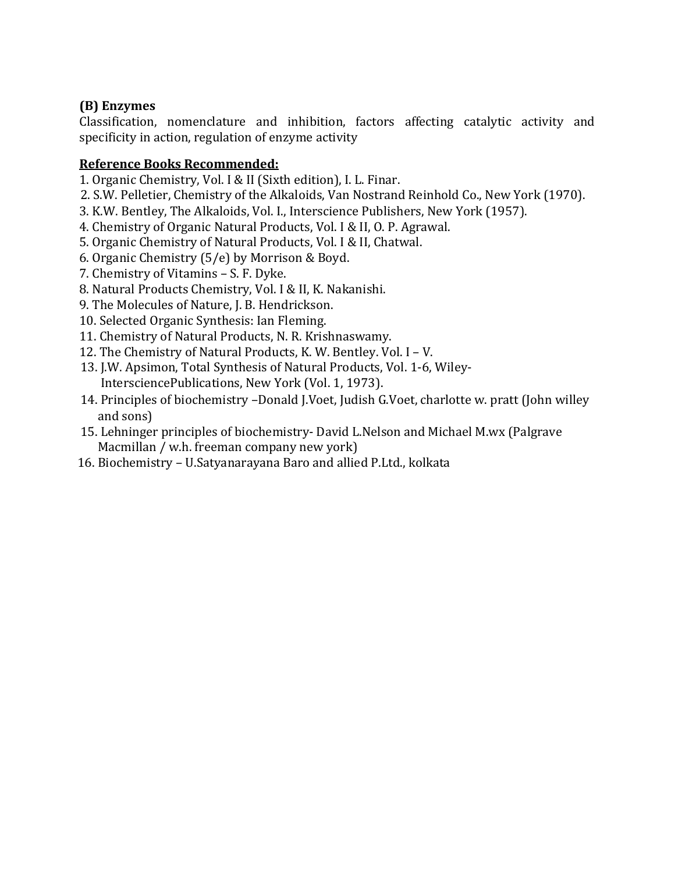#### **(B) Enzymes**

Classification, nomenclature and inhibition, factors affecting catalytic activity and specificity in action, regulation of enzyme activity

- 1. Organic Chemistry, Vol. I & II (Sixth edition), I. L. Finar.
- 2. S.W. Pelletier, Chemistry of the Alkaloids, Van Nostrand Reinhold Co., New York (1970).
- 3. K.W. Bentley, The Alkaloids, Vol. I., Interscience Publishers, New York (1957).
- 4. Chemistry of Organic Natural Products, Vol. I & II, O. P. Agrawal.
- 5. Organic Chemistry of Natural Products, Vol. I & II, Chatwal.
- 6. Organic Chemistry (5/e) by Morrison & Boyd.
- 7. Chemistry of Vitamins S. F. Dyke.
- 8. Natural Products Chemistry, Vol. I & II, K. Nakanishi.
- 9. The Molecules of Nature, J. B. Hendrickson.
- 10. Selected Organic Synthesis: Ian Fleming.
- 11. Chemistry of Natural Products, N. R. Krishnaswamy.
- 12. The Chemistry of Natural Products, K. W. Bentley. Vol. I V.
- 13. J.W. Apsimon, Total Synthesis of Natural Products, Vol. 1-6, Wiley- IntersciencePublications, New York (Vol. 1, 1973).
- 14. Principles of biochemistry –Donald J.Voet, Judish G.Voet, charlotte w. pratt (John willey and sons)
- 15. Lehninger principles of biochemistry- David L.Nelson and Michael M.wx (Palgrave Macmillan / w.h. freeman company new york)
- 16. Biochemistry U.Satyanarayana Baro and allied P.Ltd., kolkata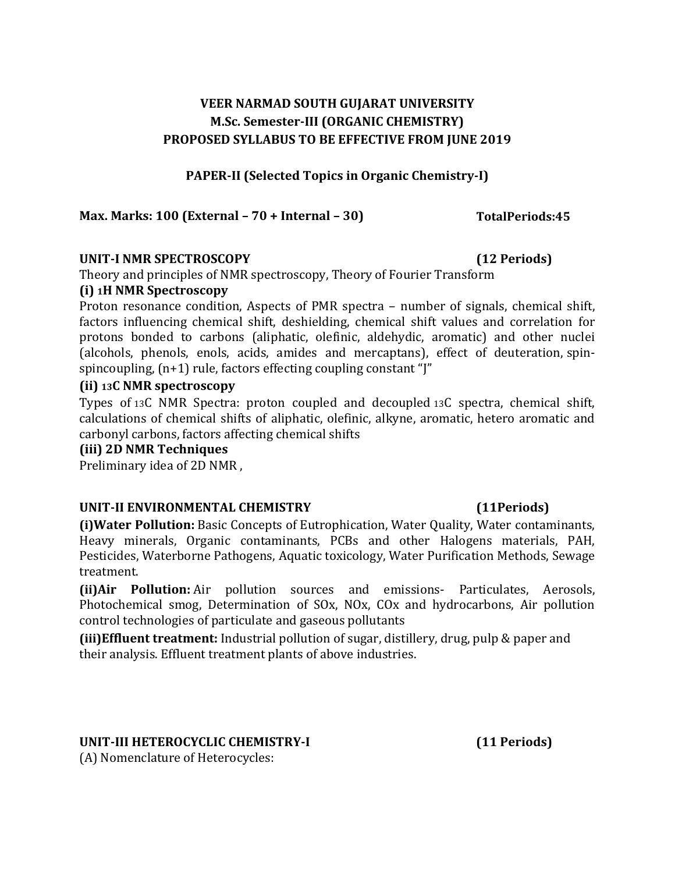#### **PAPER-II (Selected Topics in Organic Chemistry-I)**

#### **Max. Marks: 100 (External – 70 + Internal – 30)**

#### **UNIT-I NMR SPECTROSCOPY (12 Periods)**

Theory and principles of NMR spectroscopy, Theory of Fourier Transform

#### **(i) 1H NMR Spectroscopy**

Proton resonance condition, Aspects of PMR spectra – number of signals, chemical shift, factors influencing chemical shift, deshielding, chemical shift values and correlation for protons bonded to carbons (aliphatic, olefinic, aldehydic, aromatic) and other nuclei (alcohols, phenols, enols, acids, amides and mercaptans), effect of deuteration, spinspincoupling, (n+1) rule, factors effecting coupling constant "J"

#### **(ii) 13C NMR spectroscopy**

Types of 13C NMR Spectra: proton coupled and decoupled 13C spectra, chemical shift, calculations of chemical shifts of aliphatic, olefinic, alkyne, aromatic, hetero aromatic and carbonyl carbons, factors affecting chemical shifts

#### **(iii) 2D NMR Techniques**

Preliminary idea of 2D NMR ,

#### **UNIT-II ENVIRONMENTAL CHEMISTRY**

**(i)Water Pollution:** Basic Concepts of Eutrophication, Water Quality, Water contaminants, Heavy minerals, Organic contaminants, PCBs and other Halogens materials, PAH, Pesticides, Waterborne Pathogens, Aquatic toxicology, Water Purification Methods, Sewage treatment.

**(ii)Air Pollution:** Air pollution sources and emissions- Particulates, Aerosols, Photochemical smog, Determination of SOx, NOx, COx and hydrocarbons, Air pollution control technologies of particulate and gaseous pollutants

**(iii)Effluent treatment:** Industrial pollution of sugar, distillery, drug, pulp & paper and their analysis. Effluent treatment plants of above industries.

#### **UNIT-III HETEROCYCLIC CHEMISTRY-I (11 Periods)**

(A) Nomenclature of Heterocycles:

**(11Periods)**

**TotalPeriods:45**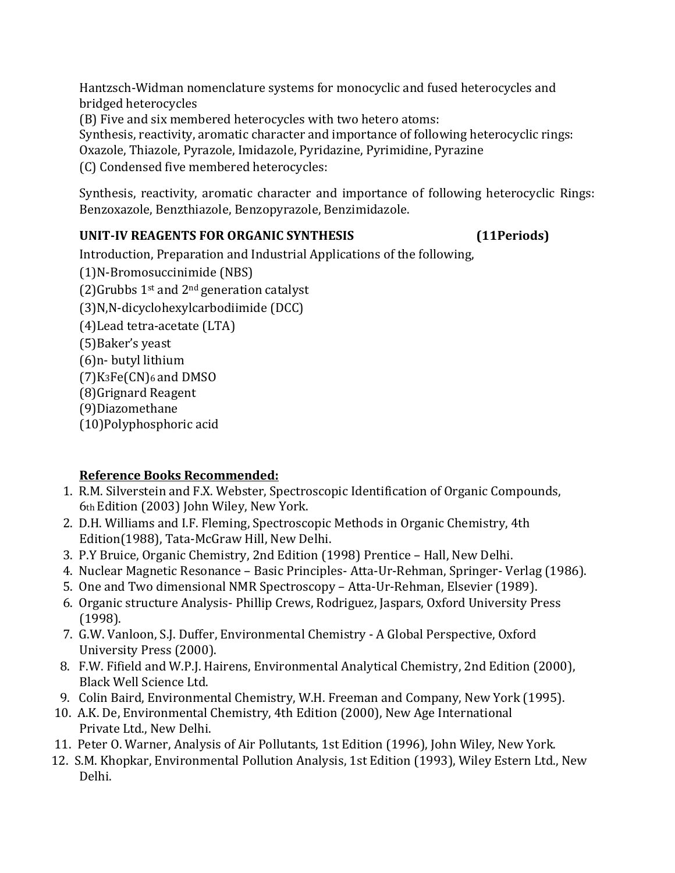Hantzsch-Widman nomenclature systems for monocyclic and fused heterocycles and bridged heterocycles

(B) Five and six membered heterocycles with two hetero atoms:

Synthesis, reactivity, aromatic character and importance of following heterocyclic rings:

Oxazole, Thiazole, Pyrazole, Imidazole, Pyridazine, Pyrimidine, Pyrazine

(C) Condensed five membered heterocycles:

Synthesis, reactivity, aromatic character and importance of following heterocyclic Rings: Benzoxazole, Benzthiazole, Benzopyrazole, Benzimidazole.

# **UNIT-IV REAGENTS FOR ORGANIC SYNTHESIS (11Periods)**

Introduction, Preparation and Industrial Applications of the following,

(1)N-Bromosuccinimide (NBS)

(2)Grubbs  $1<sup>st</sup>$  and  $2<sup>nd</sup>$  generation catalyst

(3)N,N-dicyclohexylcarbodiimide (DCC)

(4)Lead tetra-acetate (LTA)

(5)Baker's yeast

(6)n- butyl lithium

 $(7)$ K<sub>3</sub>Fe $(CN)$ <sub>6</sub> and DMSO

(8)Grignard Reagent

(9)Diazomethane

(10)Polyphosphoric acid

- 1. R.M. Silverstein and F.X. Webster, Spectroscopic Identification of Organic Compounds, 6th Edition (2003) John Wiley, New York.
- 2. D.H. Williams and I.F. Fleming, Spectroscopic Methods in Organic Chemistry, 4th Edition(1988), Tata-McGraw Hill, New Delhi.
- 3. P.Y Bruice, Organic Chemistry, 2nd Edition (1998) Prentice Hall, New Delhi.
- 4. Nuclear Magnetic Resonance Basic Principles- Atta-Ur-Rehman, Springer- Verlag (1986).
- 5. One and Two dimensional NMR Spectroscopy Atta-Ur-Rehman, Elsevier (1989).
- 6. Organic structure Analysis- Phillip Crews, Rodriguez, Jaspars, Oxford University Press (1998).
- 7. G.W. Vanloon, S.J. Duffer, Environmental Chemistry A Global Perspective, Oxford University Press (2000).
- 8. F.W. Fifield and W.P.J. Hairens, Environmental Analytical Chemistry, 2nd Edition (2000), Black Well Science Ltd.
- 9. Colin Baird, Environmental Chemistry, W.H. Freeman and Company, New York (1995).
- 10. A.K. De, Environmental Chemistry, 4th Edition (2000), New Age International Private Ltd., New Delhi.
- 11. Peter O. Warner, Analysis of Air Pollutants, 1st Edition (1996), John Wiley, New York.
- 12. S.M. Khopkar, Environmental Pollution Analysis, 1st Edition (1993), Wiley Estern Ltd., New Delhi.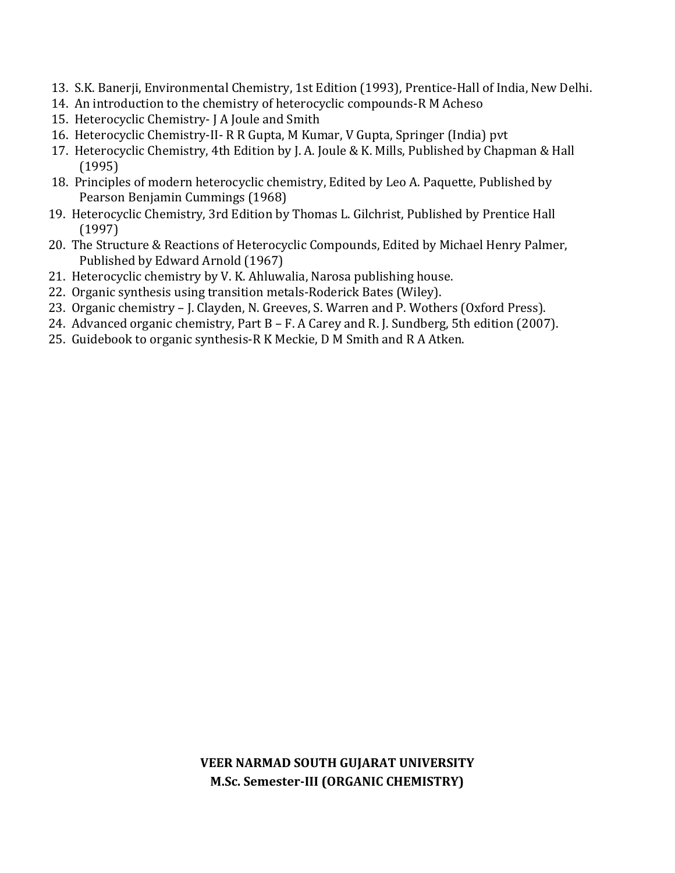- 13. S.K. Banerji, Environmental Chemistry, 1st Edition (1993), Prentice-Hall of India, New Delhi.
- 14. An introduction to the chemistry of heterocyclic compounds-R M Acheso
- 15. Heterocyclic Chemistry- J A Joule and Smith
- 16. Heterocyclic Chemistry-II- R R Gupta, M Kumar, V Gupta, Springer (India) pvt
- 17. Heterocyclic Chemistry, 4th Edition by J. A. Joule & K. Mills, Published by Chapman & Hall (1995)
- 18. Principles of modern heterocyclic chemistry, Edited by Leo A. Paquette, Published by Pearson Benjamin Cummings (1968)
- 19. Heterocyclic Chemistry, 3rd Edition by Thomas L. Gilchrist, Published by Prentice Hall (1997)
- 20. The Structure & Reactions of Heterocyclic Compounds, Edited by Michael Henry Palmer, Published by Edward Arnold (1967)
- 21. Heterocyclic chemistry by V. K. Ahluwalia, Narosa publishing house.
- 22. Organic synthesis using transition metals-Roderick Bates (Wiley).
- 23. Organic chemistry J. Clayden, N. Greeves, S. Warren and P. Wothers (Oxford Press).
- 24. Advanced organic chemistry, Part B F. A Carey and R. J. Sundberg, 5th edition (2007).
- 25. Guidebook to organic synthesis-R K Meckie, D M Smith and R A Atken.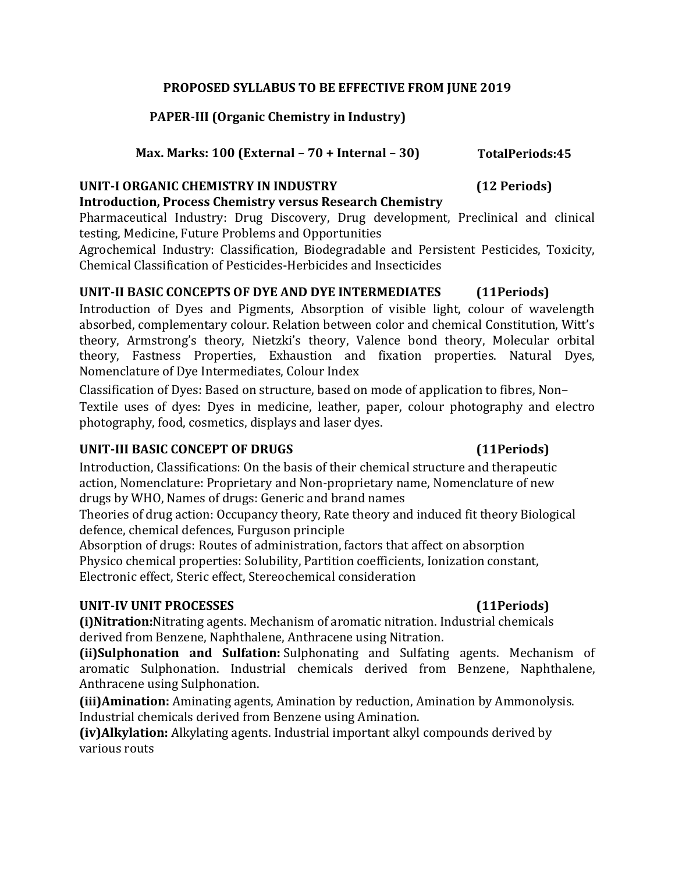#### **PROPOSED SYLLABUS TO BE EFFECTIVE FROM JUNE 2019**

### **PAPER-III (Organic Chemistry in Industry)**

### **Max. Marks: 100 (External – 70 + Internal – 30) TotalPeriods:45**

#### **UNIT-I ORGANIC CHEMISTRY IN INDUSTRY (12 Periods)**

### **Introduction, Process Chemistry versus Research Chemistry**

Pharmaceutical Industry: Drug Discovery, Drug development, Preclinical and clinical testing, Medicine, Future Problems and Opportunities

Agrochemical Industry: Classification, Biodegradable and Persistent Pesticides, Toxicity, Chemical Classification of Pesticides-Herbicides and Insecticides

### **UNIT-II BASIC CONCEPTS OF DYE AND DYE INTERMEDIATES (11Periods)**

Introduction of Dyes and Pigments, Absorption of visible light, colour of wavelength absorbed, complementary colour. Relation between color and chemical Constitution, Witt's theory, Armstrong's theory, Nietzki's theory, Valence bond theory, Molecular orbital theory, Fastness Properties, Exhaustion and fixation properties. Natural Dyes, Nomenclature of Dye Intermediates, Colour Index

Classification of Dyes: Based on structure, based on mode of application to fibres, Non– Textile uses of dyes: Dyes in medicine, leather, paper, colour photography and electro photography, food, cosmetics, displays and laser dyes.

### **UNIT-III BASIC CONCEPT OF DRUGS (11Periods)**

Introduction, Classifications: On the basis of their chemical structure and therapeutic action, Nomenclature: Proprietary and Non-proprietary name, Nomenclature of new drugs by WHO, Names of drugs: Generic and brand names

Theories of drug action: Occupancy theory, Rate theory and induced fit theory Biological defence, chemical defences, Furguson principle

Absorption of drugs: Routes of administration, factors that affect on absorption Physico chemical properties: Solubility, Partition coefficients, Ionization constant, Electronic effect, Steric effect, Stereochemical consideration

### **UNIT-IV UNIT PROCESSES (11Periods)**

**(i)Nitration:**Nitrating agents. Mechanism of aromatic nitration. Industrial chemicals derived from Benzene, Naphthalene, Anthracene using Nitration.

**(ii)Sulphonation and Sulfation:** Sulphonating and Sulfating agents. Mechanism of aromatic Sulphonation. Industrial chemicals derived from Benzene, Naphthalene, Anthracene using Sulphonation.

**(iii)Amination:** Aminating agents, Amination by reduction, Amination by Ammonolysis. Industrial chemicals derived from Benzene using Amination.

**(iv)Alkylation:** Alkylating agents. Industrial important alkyl compounds derived by various routs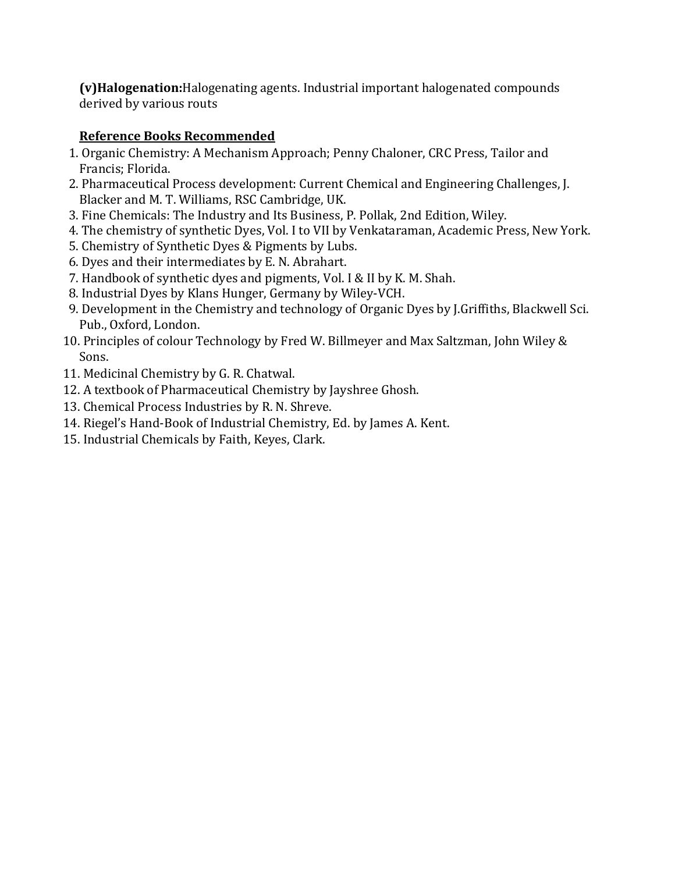**(v)Halogenation:**Halogenating agents. Industrial important halogenated compounds derived by various routs

- 1. Organic Chemistry: A Mechanism Approach; Penny Chaloner, CRC Press, Tailor and Francis; Florida.
- 2. Pharmaceutical Process development: Current Chemical and Engineering Challenges, J. Blacker and M. T. Williams, RSC Cambridge, UK.
- 3. Fine Chemicals: The Industry and Its Business, P. Pollak, 2nd Edition, Wiley.
- 4. The chemistry of synthetic Dyes, Vol. I to VII by Venkataraman, Academic Press, New York.
- 5. Chemistry of Synthetic Dyes & Pigments by Lubs.
- 6. Dyes and their intermediates by E. N. Abrahart.
- 7. Handbook of synthetic dyes and pigments, Vol. I & II by K. M. Shah.
- 8. Industrial Dyes by Klans Hunger, Germany by Wiley-VCH.
- 9. Development in the Chemistry and technology of Organic Dyes by J.Griffiths, Blackwell Sci. Pub., Oxford, London.
- 10. Principles of colour Technology by Fred W. Billmeyer and Max Saltzman, John Wiley & Sons.
- 11. Medicinal Chemistry by G. R. Chatwal.
- 12. A textbook of Pharmaceutical Chemistry by Jayshree Ghosh.
- 13. Chemical Process Industries by R. N. Shreve.
- 14. Riegel's Hand-Book of Industrial Chemistry, Ed. by James A. Kent.
- 15. Industrial Chemicals by Faith, Keyes, Clark.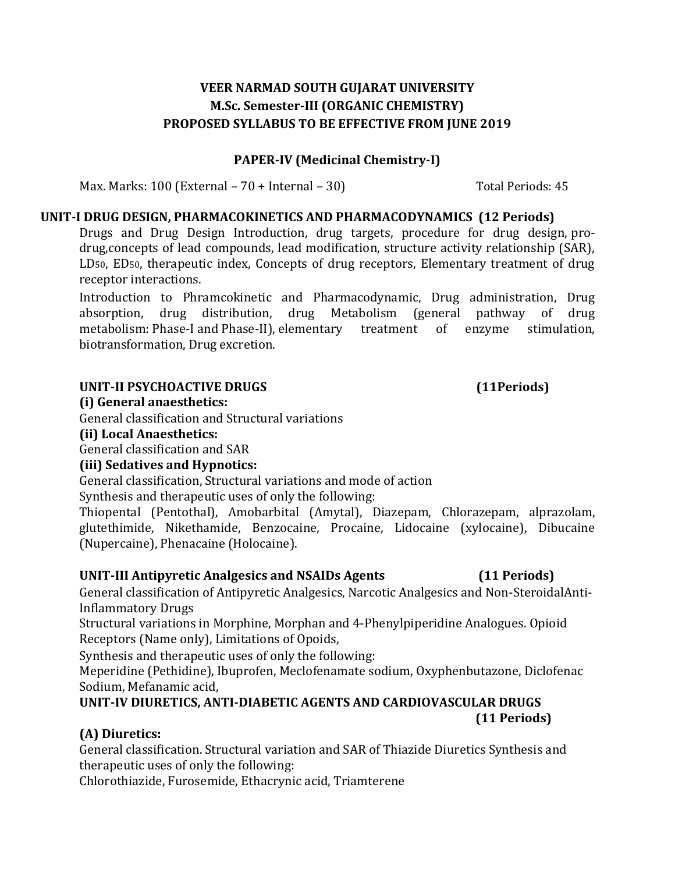#### **PAPER-IV (Medicinal Chemistry-I)**

Max. Marks: 100 (External – 70 + Internal – 30) Total Periods: 45

#### **UNIT-I DRUG DESIGN, PHARMACOKINETICS AND PHARMACODYNAMICS (12 Periods)**

Drugs and Drug Design Introduction, drug targets, procedure for drug design, prodrug,concepts of lead compounds, lead modification, structure activity relationship (SAR), LD50, ED50, therapeutic index, Concepts of drug receptors, Elementary treatment of drug receptor interactions.

Introduction to Phramcokinetic and Pharmacodynamic, Drug administration, Drug absorption, drug distribution, drug Metabolism (general pathway of drug metabolism: Phase-I and Phase-II), elementary treatment of enzyme stimulation, biotransformation, Drug excretion.

#### **UNIT-II PSYCHOACTIVE DRUGS**

#### **(i) General anaesthetics:**

General classification and Structural variations

#### **(ii) Local Anaesthetics:**

General classification and SAR

### **(iii) Sedatives and Hypnotics:**

General classification, Structural variations and mode of action

Synthesis and therapeutic uses of only the following:

Thiopental (Pentothal), Amobarbital (Amytal), Diazepam, Chlorazepam, alprazolam, glutethimide, Nikethamide, Benzocaine, Procaine, Lidocaine (xylocaine), Dibucaine (Nupercaine), Phenacaine (Holocaine).

### **UNIT-III Antipyretic Analgesics and NSAIDs Agents (11 Periods)**

General classification of Antipyretic Analgesics, Narcotic Analgesics and Non-SteroidalAnti-Inflammatory Drugs

Structural variations in Morphine, Morphan and 4-Phenylpiperidine Analogues. Opioid Receptors (Name only), Limitations of Opoids,

Synthesis and therapeutic uses of only the following:

Meperidine (Pethidine), Ibuprofen, Meclofenamate sodium, Oxyphenbutazone, Diclofenac Sodium, Mefanamic acid,

### **UNIT-IV DIURETICS, ANTI-DIABETIC AGENTS AND CARDIOVASCULAR DRUGS (11 Periods)**

# **(A) Diuretics:**

General classification. Structural variation and SAR of Thiazide Diuretics Synthesis and therapeutic uses of only the following:

Chlorothiazide, Furosemide, Ethacrynic acid, Triamterene

# **(11Periods)**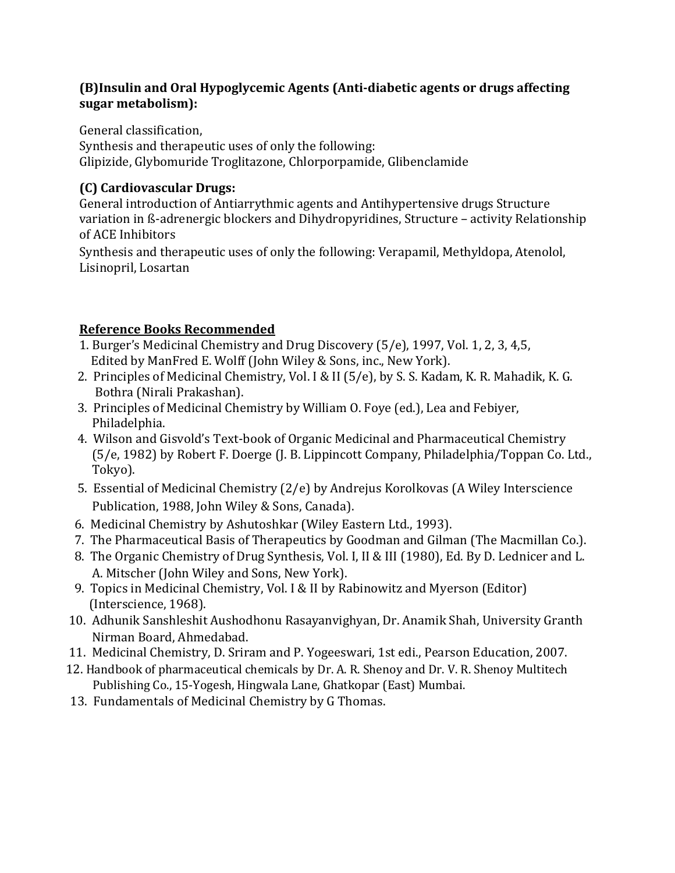### **(B)Insulin and Oral Hypoglycemic Agents (Anti-diabetic agents or drugs affecting sugar metabolism):**

General classification,

Synthesis and therapeutic uses of only the following: Glipizide, Glybomuride Troglitazone, Chlorporpamide, Glibenclamide

# **(C) Cardiovascular Drugs:**

General introduction of Antiarrythmic agents and Antihypertensive drugs Structure variation in ß-adrenergic blockers and Dihydropyridines, Structure – activity Relationship of ACE Inhibitors

Synthesis and therapeutic uses of only the following: Verapamil, Methyldopa, Atenolol, Lisinopril, Losartan

- 1. Burger's Medicinal Chemistry and Drug Discovery (5/e), 1997, Vol. 1, 2, 3, 4,5, Edited by ManFred E. Wolff (John Wiley & Sons, inc., New York).
- 2. Principles of Medicinal Chemistry, Vol. I & II (5/e), by S. S. Kadam, K. R. Mahadik, K. G. Bothra (Nirali Prakashan).
- 3. Principles of Medicinal Chemistry by William O. Foye (ed.), Lea and Febiyer, Philadelphia.
- 4. Wilson and Gisvold's Text-book of Organic Medicinal and Pharmaceutical Chemistry (5/e, 1982) by Robert F. Doerge (J. B. Lippincott Company, Philadelphia/Toppan Co. Ltd., Tokyo).
- 5. Essential of Medicinal Chemistry (2/e) by Andrejus Korolkovas (A Wiley Interscience Publication, 1988, John Wiley & Sons, Canada).
- 6. Medicinal Chemistry by Ashutoshkar (Wiley Eastern Ltd., 1993).
- 7. The Pharmaceutical Basis of Therapeutics by Goodman and Gilman (The Macmillan Co.).
- 8. The Organic Chemistry of Drug Synthesis, Vol. I, II & III (1980), Ed. By D. Lednicer and L. A. Mitscher (John Wiley and Sons, New York).
- 9. Topics in Medicinal Chemistry, Vol. I & II by Rabinowitz and Myerson (Editor) (Interscience, 1968).
- 10. Adhunik Sanshleshit Aushodhonu Rasayanvighyan, Dr. Anamik Shah, University Granth Nirman Board, Ahmedabad.
- 11. Medicinal Chemistry, D. Sriram and P. Yogeeswari, 1st edi., Pearson Education, 2007.
- 12. Handbook of pharmaceutical chemicals by Dr. A. R. Shenoy and Dr. V. R. Shenoy Multitech Publishing Co., 15-Yogesh, Hingwala Lane, Ghatkopar (East) Mumbai.
- 13. Fundamentals of Medicinal Chemistry by G Thomas.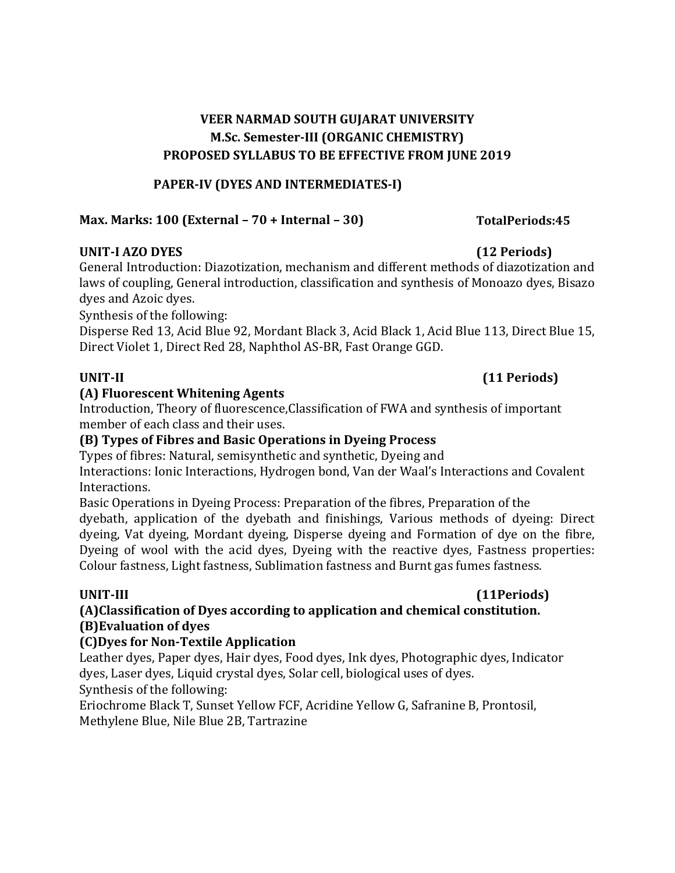#### **PAPER-IV (DYES AND INTERMEDIATES-I)**

### **Max. Marks: 100 (External – 70 + Internal – 30) TotalPeriods:45**

#### **UNIT-I AZO DYES (12 Periods)**

General Introduction: Diazotization, mechanism and different methods of diazotization and laws of coupling, General introduction, classification and synthesis of Monoazo dyes, Bisazo dyes and Azoic dyes.

Synthesis of the following:

Disperse Red 13, Acid Blue 92, Mordant Black 3, Acid Black 1, Acid Blue 113, Direct Blue 15, Direct Violet 1, Direct Red 28, Naphthol AS-BR, Fast Orange GGD.

#### **(A) Fluorescent Whitening Agents**

Introduction, Theory of fluorescence,Classification of FWA and synthesis of important member of each class and their uses.

#### **(B) Types of Fibres and Basic Operations in Dyeing Process**

Types of fibres: Natural, semisynthetic and synthetic, Dyeing and

Interactions: Ionic Interactions, Hydrogen bond, Van der Waal's Interactions and Covalent Interactions.

Basic Operations in Dyeing Process: Preparation of the fibres, Preparation of the dyebath, application of the dyebath and finishings, Various methods of dyeing: Direct dyeing, Vat dyeing, Mordant dyeing, Disperse dyeing and Formation of dye on the fibre, Dyeing of wool with the acid dyes, Dyeing with the reactive dyes, Fastness properties: Colour fastness, Light fastness, Sublimation fastness and Burnt gas fumes fastness.

# **(A)Classification of Dyes according to application and chemical constitution. (B)Evaluation of dyes**

### **(C)Dyes for Non-Textile Application**

Leather dyes, Paper dyes, Hair dyes, Food dyes, Ink dyes, Photographic dyes, Indicator dyes, Laser dyes, Liquid crystal dyes, Solar cell, biological uses of dyes.

Synthesis of the following:

Eriochrome Black T, Sunset Yellow FCF, Acridine Yellow G, Safranine B, Prontosil, Methylene Blue, Nile Blue 2B, Tartrazine

## **UNIT-II (11 Periods)**

# **UNIT-III (11Periods)**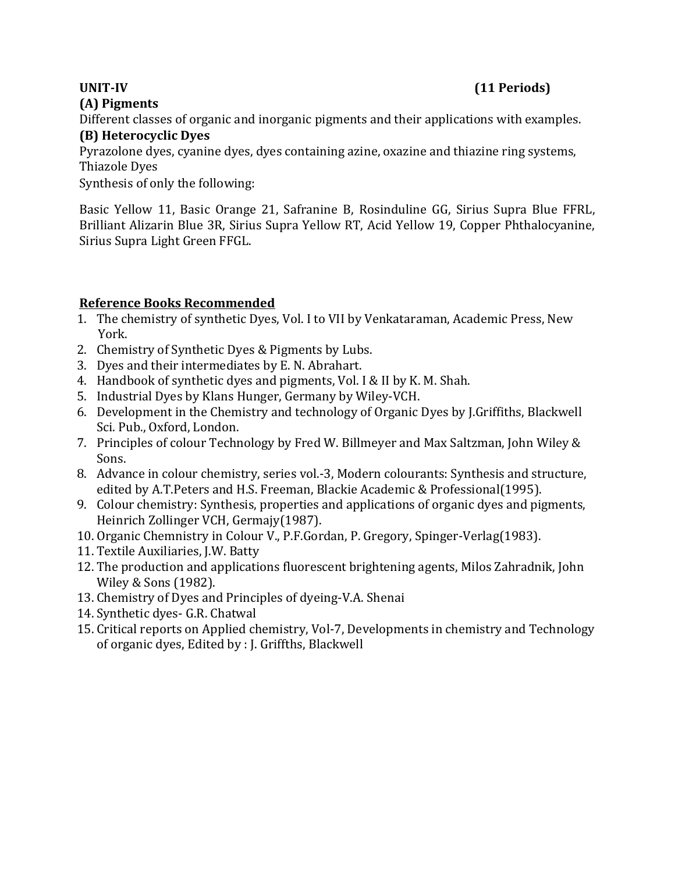# **(A) Pigments**

### **UNIT-IV (11 Periods)**

Different classes of organic and inorganic pigments and their applications with examples.

# **(B) Heterocyclic Dyes**

Pyrazolone dyes, cyanine dyes, dyes containing azine, oxazine and thiazine ring systems, Thiazole Dyes

Synthesis of only the following:

Basic Yellow 11, Basic Orange 21, Safranine B, Rosinduline GG, Sirius Supra Blue FFRL, Brilliant Alizarin Blue 3R, Sirius Supra Yellow RT, Acid Yellow 19, Copper Phthalocyanine, Sirius Supra Light Green FFGL.

- 1. The chemistry of synthetic Dyes, Vol. I to VII by Venkataraman, Academic Press, New York.
- 2. Chemistry of Synthetic Dyes & Pigments by Lubs.
- 3. Dyes and their intermediates by E. N. Abrahart.
- 4. Handbook of synthetic dyes and pigments, Vol. I & II by K. M. Shah.
- 5. Industrial Dyes by Klans Hunger, Germany by Wiley-VCH.
- 6. Development in the Chemistry and technology of Organic Dyes by J.Griffiths, Blackwell Sci. Pub., Oxford, London.
- 7. Principles of colour Technology by Fred W. Billmeyer and Max Saltzman, John Wiley & Sons.
- 8. Advance in colour chemistry, series vol.-3, Modern colourants: Synthesis and structure, edited by A.T.Peters and H.S. Freeman, Blackie Academic & Professional(1995).
- 9. Colour chemistry: Synthesis, properties and applications of organic dyes and pigments, Heinrich Zollinger VCH, Germajy(1987).
- 10. Organic Chemnistry in Colour V., P.F.Gordan, P. Gregory, Spinger-Verlag(1983).
- 11. Textile Auxiliaries, J.W. Batty
- 12. The production and applications fluorescent brightening agents, Milos Zahradnik, John Wiley & Sons (1982).
- 13. Chemistry of Dyes and Principles of dyeing-V.A. Shenai
- 14. Synthetic dyes- G.R. Chatwal
- 15. Critical reports on Applied chemistry, Vol-7, Developments in chemistry and Technology of organic dyes, Edited by : J. Griffths, Blackwell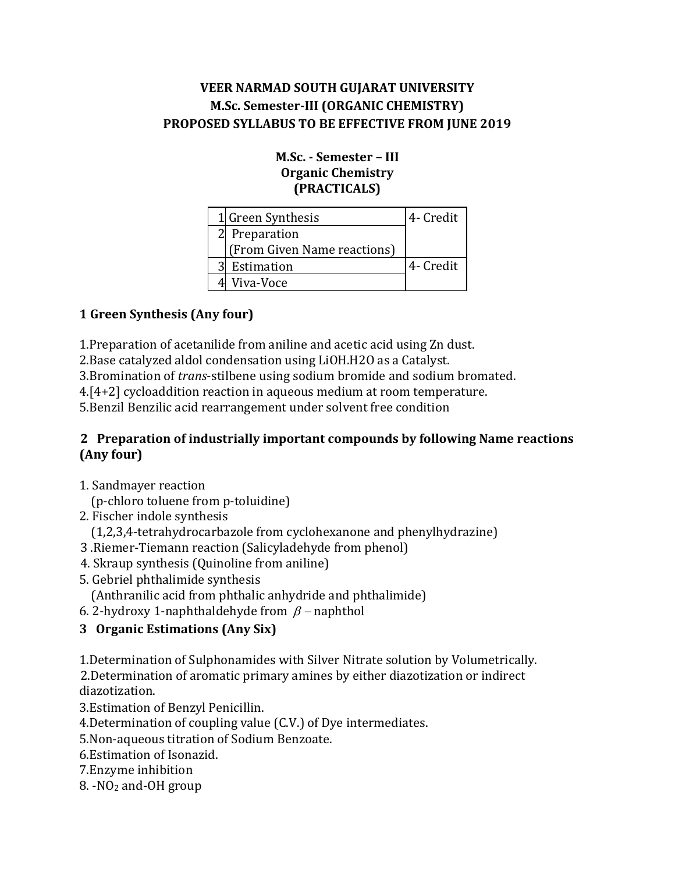#### **M.Sc. - Semester – III Organic Chemistry (PRACTICALS)**

|   | 1 Green Synthesis           | 4- Credit |
|---|-----------------------------|-----------|
|   | 2 Preparation               |           |
|   | (From Given Name reactions) |           |
| 3 | Estimation                  | 4- Credit |
|   | Viva-Voce                   |           |

# **1 Green Synthesis (Any four)**

1.Preparation of acetanilide from aniline and acetic acid using Zn dust.

2.Base catalyzed aldol condensation using LiOH.H2O as a Catalyst.

3.Bromination of *trans*-stilbene using sodium bromide and sodium bromated.

4.[4+2] cycloaddition reaction in aqueous medium at room temperature.

5.Benzil Benzilic acid rearrangement under solvent free condition

### **2 Preparation of industrially important compounds by following Name reactions (Any four)**

1. Sandmayer reaction

(p-chloro toluene from p-toluidine)

2. Fischer indole synthesis

(1,2,3,4-tetrahydrocarbazole from cyclohexanone and phenylhydrazine)

- 3 .Riemer-Tiemann reaction (Salicyladehyde from phenol)
- 4. Skraup synthesis (Quinoline from aniline)
- 5. Gebriel phthalimide synthesis
	- (Anthranilic acid from phthalic anhydride and phthalimide)
- 6. 2-hydroxy 1-naphthaldehyde from  $\beta$  -naphthol

# **3 Organic Estimations (Any Six)**

1.Determination of Sulphonamides with Silver Nitrate solution by Volumetrically. 2.Determination of aromatic primary amines by either diazotization or indirect diazotization.

3.Estimation of Benzyl Penicillin.

4.Determination of coupling value (C.V.) of Dye intermediates.

5.Non-aqueous titration of Sodium Benzoate.

6.Estimation of Isonazid.

7.Enzyme inhibition

8. -NO<sup>2</sup> and-OH group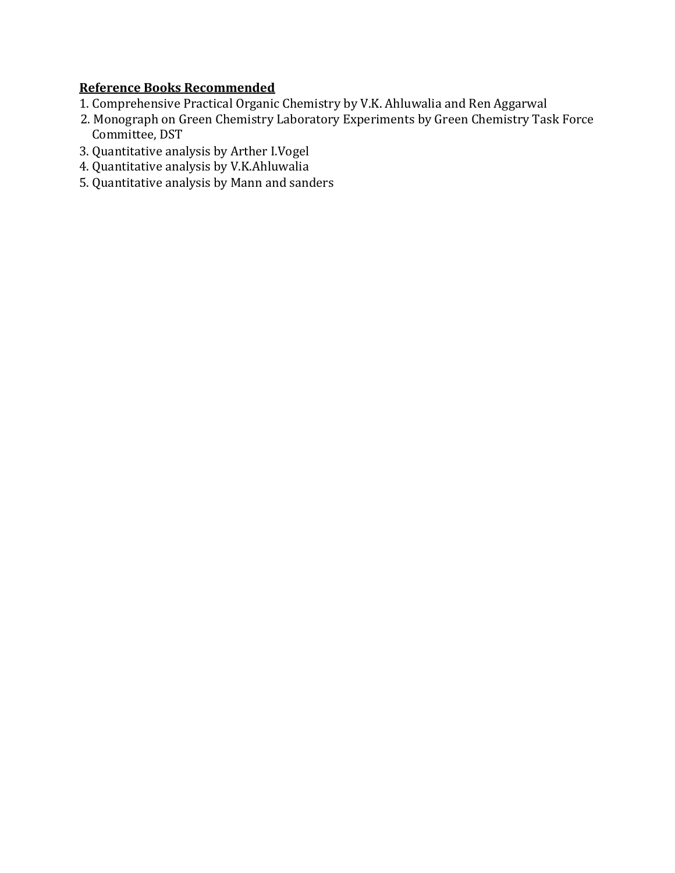- 1. Comprehensive Practical Organic Chemistry by V.K. Ahluwalia and Ren Aggarwal
- 2. Monograph on Green Chemistry Laboratory Experiments by Green Chemistry Task Force Committee, DST
- 3. Quantitative analysis by Arther I.Vogel
- 4. Quantitative analysis by V.K.Ahluwalia
- 5. Quantitative analysis by Mann and sanders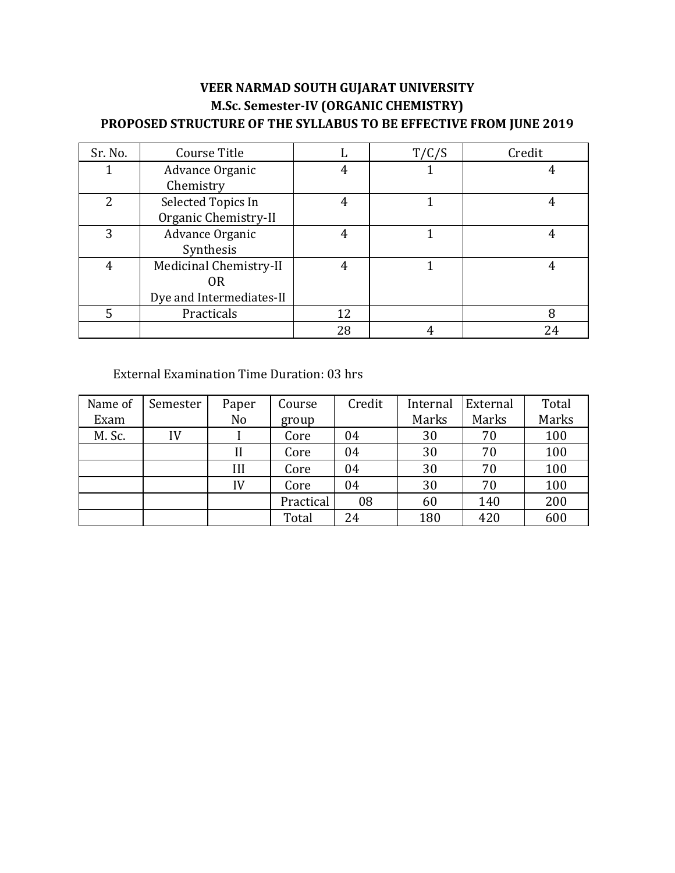| Sr. No.        | Course Title             |    | T/C/S | Credit |
|----------------|--------------------------|----|-------|--------|
|                | Advance Organic          |    |       |        |
|                | Chemistry                |    |       |        |
| $\overline{2}$ | Selected Topics In       | 4  |       |        |
|                | Organic Chemistry-II     |    |       |        |
| 3              | Advance Organic          |    |       |        |
|                | Synthesis                |    |       |        |
| 4              | Medicinal Chemistry-II   |    |       |        |
|                | 0R                       |    |       |        |
|                | Dye and Intermediates-II |    |       |        |
| 5              | Practicals               | 12 |       | 8      |
|                |                          | 28 |       | 24     |

#### External Examination Time Duration: 03 hrs

| Name of | Semester | Paper | Course    | Credit | Internal | External | Total |
|---------|----------|-------|-----------|--------|----------|----------|-------|
| Exam    |          | No    | group     |        | Marks    | Marks    | Marks |
| M. Sc.  | IV       |       | Core      | 04     | 30       | 70       | 100   |
|         |          |       | Core      | 04     | 30       | 70       | 100   |
|         |          | III   | Core      | 04     | 30       | 70       | 100   |
|         |          | IV    | Core      | 04     | 30       | 70       | 100   |
|         |          |       | Practical | 08     | 60       | 140      | 200   |
|         |          |       | Total     | 24     | 180      | 420      | 600   |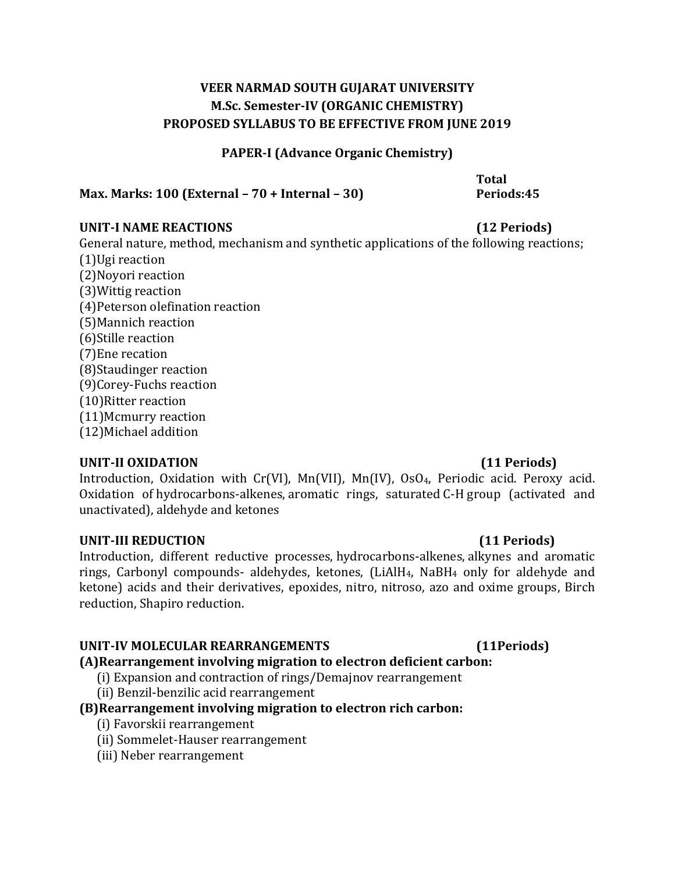#### **PAPER-I (Advance Organic Chemistry)**

**Max. Marks: 100 (External – 70 + Internal – 30)**

General nature, method, mechanism and synthetic applications of the following reactions;

(1)Ugi reaction (2)Noyori reaction (3)Wittig reaction (4)Peterson olefination reaction (5)Mannich reaction (6)Stille reaction (7)Ene recation (8)Staudinger reaction (9)Corey-Fuchs reaction (10)Ritter reaction (11)Mcmurry reaction (12)Michael addition

### **UNIT-II OXIDATION (11 Periods)**

Introduction, Oxidation with Cr(VI), Mn(VII), Mn(IV), OsO4, Periodic acid. Peroxy acid. Oxidation of hydrocarbons-alkenes, aromatic rings, saturated C-H group (activated and unactivated), aldehyde and ketones

#### **UNIT-III REDUCTION (11 Periods)**

Introduction, different reductive processes, hydrocarbons-alkenes, alkynes and aromatic rings, Carbonyl compounds- aldehydes, ketones, (LiAlH4, NaBH<sup>4</sup> only for aldehyde and ketone) acids and their derivatives, epoxides, nitro, nitroso, azo and oxime groups, Birch reduction, Shapiro reduction.

### **UNIT-IV MOLECULAR REARRANGEMENTS**

### **(A)Rearrangement involving migration to electron deficient carbon:**

- (i) Expansion and contraction of rings/Demajnov rearrangement
- (ii) Benzil-benzilic acid rearrangement

### **(B)Rearrangement involving migration to electron rich carbon:**

- (i) Favorskii rearrangement
- (ii) Sommelet-Hauser rearrangement
- (iii) Neber rearrangement

**(11Periods)**

# **UNIT-I NAME REACTIONS (12 Periods)**

**Total Periods:45**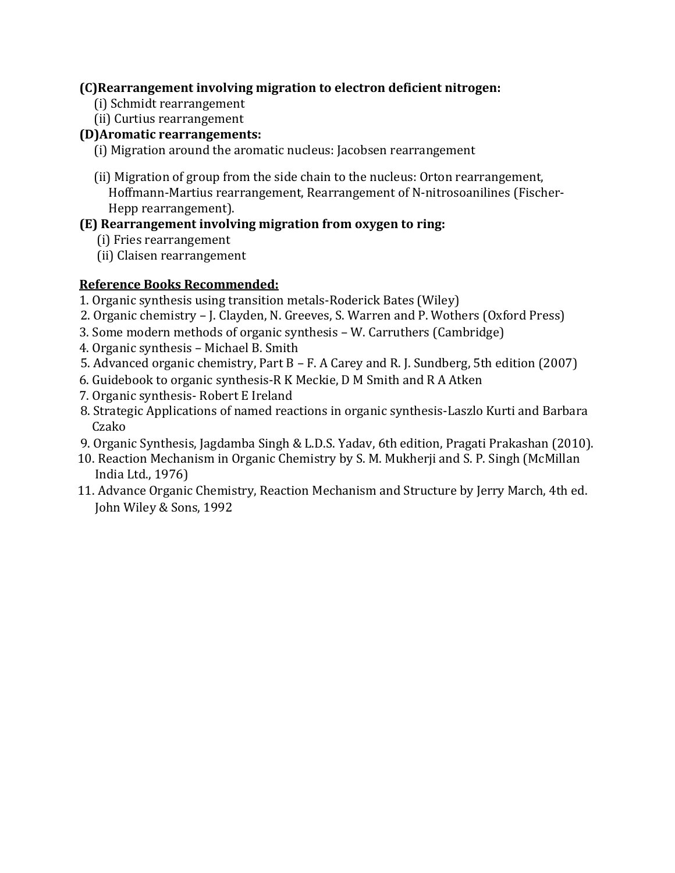### **(C)Rearrangement involving migration to electron deficient nitrogen:**

- (i) Schmidt rearrangement
- (ii) Curtius rearrangement

#### **(D)Aromatic rearrangements:**

- (i) Migration around the aromatic nucleus: Jacobsen rearrangement
- (ii) Migration of group from the side chain to the nucleus: Orton rearrangement, Hoffmann-Martius rearrangement, Rearrangement of N-nitrosoanilines (Fischer- Hepp rearrangement).

#### **(E) Rearrangement involving migration from oxygen to ring:**

- (i) Fries rearrangement
- (ii) Claisen rearrangement

- 1. Organic synthesis using transition metals-Roderick Bates (Wiley)
- 2. Organic chemistry J. Clayden, N. Greeves, S. Warren and P. Wothers (Oxford Press)
- 3. Some modern methods of organic synthesis W. Carruthers (Cambridge)
- 4. Organic synthesis Michael B. Smith
- 5. Advanced organic chemistry, Part B F. A Carey and R. J. Sundberg, 5th edition (2007)
- 6. Guidebook to organic synthesis-R K Meckie, D M Smith and R A Atken
- 7. Organic synthesis- Robert E Ireland
- 8. Strategic Applications of named reactions in organic synthesis-Laszlo Kurti and Barbara Czako
- 9. Organic Synthesis, Jagdamba Singh & L.D.S. Yadav, 6th edition, Pragati Prakashan (2010).
- 10. Reaction Mechanism in Organic Chemistry by S. M. Mukherji and S. P. Singh (McMillan India Ltd., 1976)
- 11. Advance Organic Chemistry, Reaction Mechanism and Structure by Jerry March, 4th ed. John Wiley & Sons, 1992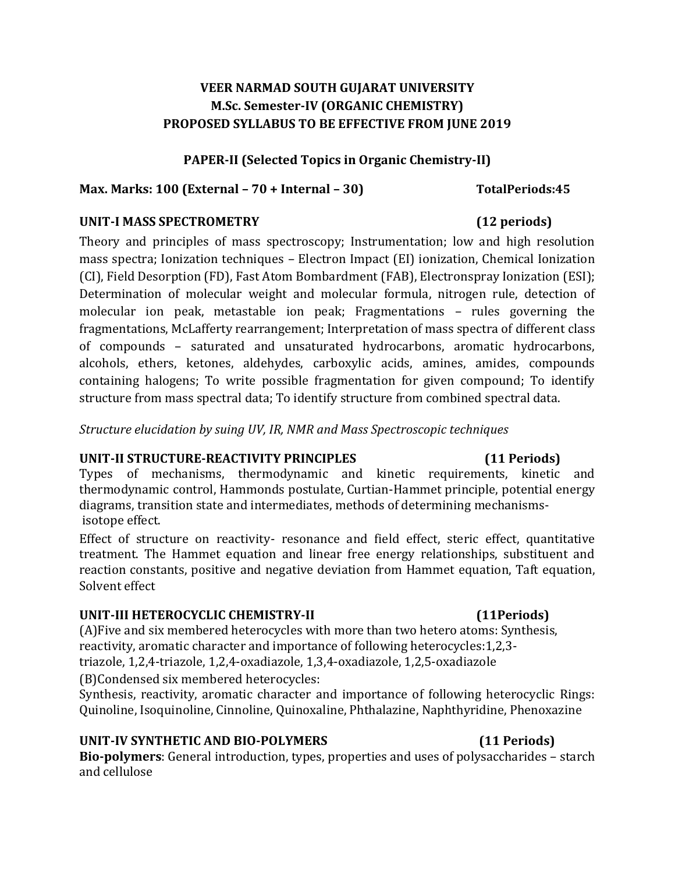#### **PAPER-II (Selected Topics in Organic Chemistry-II)**

#### **Max. Marks: 100 (External – 70 + Internal – 30) TotalPeriods:45**

#### **UNIT-I MASS SPECTROMETRY (12 periods)**

Theory and principles of mass spectroscopy; Instrumentation; low and high resolution mass spectra; Ionization techniques – Electron Impact (EI) ionization, Chemical Ionization (CI), Field Desorption (FD), Fast Atom Bombardment (FAB), Electronspray Ionization (ESI); Determination of molecular weight and molecular formula, nitrogen rule, detection of molecular ion peak, metastable ion peak; Fragmentations – rules governing the fragmentations, McLafferty rearrangement; Interpretation of mass spectra of different class of compounds – saturated and unsaturated hydrocarbons, aromatic hydrocarbons, alcohols, ethers, ketones, aldehydes, carboxylic acids, amines, amides, compounds containing halogens; To write possible fragmentation for given compound; To identify structure from mass spectral data; To identify structure from combined spectral data.

*Structure elucidation by suing UV, IR, NMR and Mass Spectroscopic techniques*

#### **UNIT-II STRUCTURE-REACTIVITY PRINCIPLES (11 Periods)**

Types of mechanisms, thermodynamic and kinetic requirements, kinetic and thermodynamic control, Hammonds postulate, Curtian-Hammet principle, potential energy diagrams, transition state and intermediates, methods of determining mechanismsisotope effect.

Effect of structure on reactivity- resonance and field effect, steric effect, quantitative treatment. The Hammet equation and linear free energy relationships, substituent and reaction constants, positive and negative deviation from Hammet equation, Taft equation, Solvent effect

#### **UNIT-III HETEROCYCLIC CHEMISTRY-II (11Periods)**

(A)Five and six membered heterocycles with more than two hetero atoms: Synthesis, reactivity, aromatic character and importance of following heterocycles:1,2,3 triazole, 1,2,4-triazole, 1,2,4-oxadiazole, 1,3,4-oxadiazole, 1,2,5-oxadiazole

(B)Condensed six membered heterocycles:

Synthesis, reactivity, aromatic character and importance of following heterocyclic Rings: Quinoline, Isoquinoline, Cinnoline, Quinoxaline, Phthalazine, Naphthyridine, Phenoxazine

### **UNIT-IV SYNTHETIC AND BIO-POLYMERS (11 Periods)**

**Bio-polymers**: General introduction, types, properties and uses of polysaccharides – starch and cellulose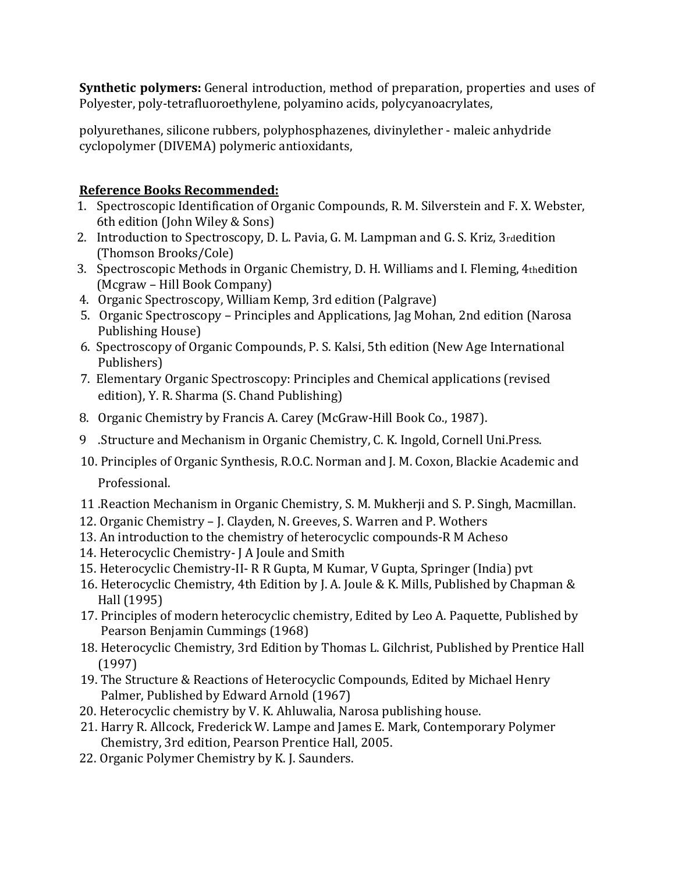**Synthetic polymers:** General introduction, method of preparation, properties and uses of Polyester, poly-tetrafluoroethylene, polyamino acids, polycyanoacrylates,

polyurethanes, silicone rubbers, polyphosphazenes, divinylether - maleic anhydride cyclopolymer (DIVEMA) polymeric antioxidants,

- 1. Spectroscopic Identification of Organic Compounds, R. M. Silverstein and F. X. Webster, 6th edition (John Wiley & Sons)
- 2. Introduction to Spectroscopy, D. L. Pavia, G. M. Lampman and G. S. Kriz, 3rdedition (Thomson Brooks/Cole)
- 3. Spectroscopic Methods in Organic Chemistry, D. H. Williams and I. Fleming, 4thedition (Mcgraw – Hill Book Company)
- 4. Organic Spectroscopy, William Kemp, 3rd edition (Palgrave)
- 5. Organic Spectroscopy Principles and Applications, Jag Mohan, 2nd edition (Narosa Publishing House)
- 6. Spectroscopy of Organic Compounds, P. S. Kalsi, 5th edition (New Age International Publishers)
- 7. Elementary Organic Spectroscopy: Principles and Chemical applications (revised edition), Y. R. Sharma (S. Chand Publishing)
- 8. Organic Chemistry by Francis A. Carey (McGraw-Hill Book Co., 1987).
- 9 .Structure and Mechanism in Organic Chemistry, C. K. Ingold, Cornell Uni.Press.
- 10. Principles of Organic Synthesis, R.O.C. Norman and J. M. Coxon, Blackie Academic and Professional.
- 11 .Reaction Mechanism in Organic Chemistry, S. M. Mukherji and S. P. Singh, Macmillan.
- 12. Organic Chemistry J. Clayden, N. Greeves, S. Warren and P. Wothers
- 13. An introduction to the chemistry of heterocyclic compounds-R M Acheso
- 14. Heterocyclic Chemistry- J A Joule and Smith
- 15. Heterocyclic Chemistry-II- R R Gupta, M Kumar, V Gupta, Springer (India) pvt
- 16. Heterocyclic Chemistry, 4th Edition by J. A. Joule & K. Mills, Published by Chapman & Hall (1995)
- 17. Principles of modern heterocyclic chemistry, Edited by Leo A. Paquette, Published by Pearson Benjamin Cummings (1968)
- 18. Heterocyclic Chemistry, 3rd Edition by Thomas L. Gilchrist, Published by Prentice Hall (1997)
- 19. The Structure & Reactions of Heterocyclic Compounds, Edited by Michael Henry Palmer, Published by Edward Arnold (1967)
- 20. Heterocyclic chemistry by V. K. Ahluwalia, Narosa publishing house.
- 21. Harry R. Allcock, Frederick W. Lampe and James E. Mark, Contemporary Polymer Chemistry, 3rd edition, Pearson Prentice Hall, 2005.
- 22. Organic Polymer Chemistry by K. J. Saunders.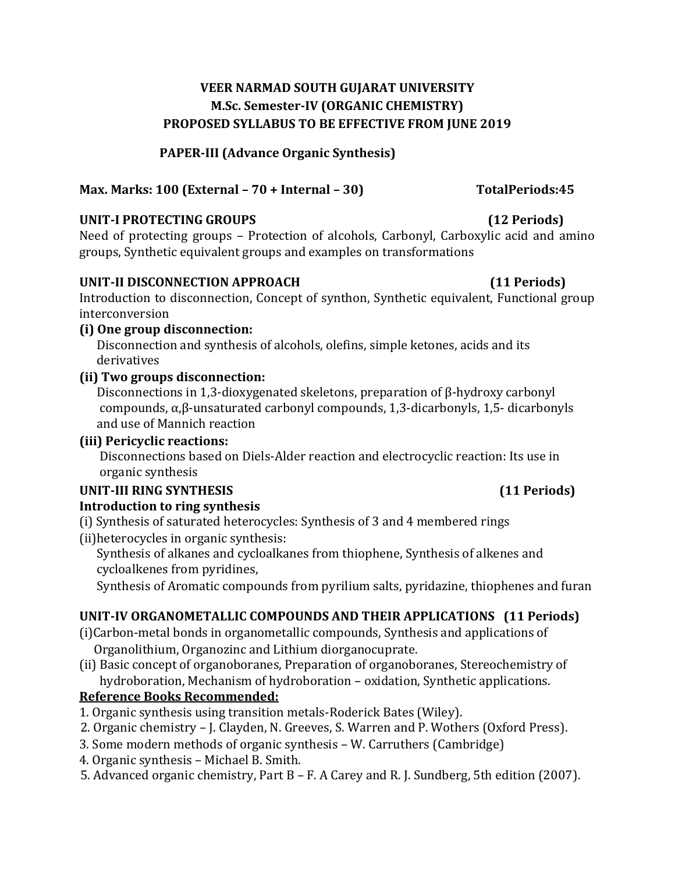**PAPER-III (Advance Organic Synthesis)**

# **Max. Marks: 100 (External – 70 + Internal – 30) TotalPeriods:45**

### **UNIT-I PROTECTING GROUPS (12 Periods)**

Need of protecting groups – Protection of alcohols, Carbonyl, Carboxylic acid and amino groups, Synthetic equivalent groups and examples on transformations

### **UNIT-II DISCONNECTION APPROACH (11 Periods)**

Introduction to disconnection, Concept of synthon, Synthetic equivalent, Functional group interconversion

### **(i) One group disconnection:**

 Disconnection and synthesis of alcohols, olefins, simple ketones, acids and its derivatives

## **(ii) Two groups disconnection:**

 Disconnections in 1,3-dioxygenated skeletons, preparation of β-hydroxy carbonyl compounds, α,β-unsaturated carbonyl compounds, 1,3-dicarbonyls, 1,5- dicarbonyls and use of Mannich reaction

# **(iii) Pericyclic reactions:**

 Disconnections based on Diels-Alder reaction and electrocyclic reaction: Its use in organic synthesis

# **UNIT-III RING SYNTHESIS (11 Periods)**

### **Introduction to ring synthesis**

(i) Synthesis of saturated heterocycles: Synthesis of 3 and 4 membered rings (ii)heterocycles in organic synthesis:

 Synthesis of alkanes and cycloalkanes from thiophene, Synthesis of alkenes and cycloalkenes from pyridines,

Synthesis of Aromatic compounds from pyrilium salts, pyridazine, thiophenes and furan

# **UNIT-IV ORGANOMETALLIC COMPOUNDS AND THEIR APPLICATIONS (11 Periods)**

- (i)Carbon-metal bonds in organometallic compounds, Synthesis and applications of Organolithium, Organozinc and Lithium diorganocuprate.
- (ii) Basic concept of organoboranes, Preparation of organoboranes, Stereochemistry of hydroboration, Mechanism of hydroboration – oxidation, Synthetic applications.

- 1. Organic synthesis using transition metals-Roderick Bates (Wiley).
- 2. Organic chemistry J. Clayden, N. Greeves, S. Warren and P. Wothers (Oxford Press).
- 3. Some modern methods of organic synthesis W. Carruthers (Cambridge)
- 4. Organic synthesis Michael B. Smith.
- 5. Advanced organic chemistry, Part B F. A Carey and R. J. Sundberg, 5th edition (2007).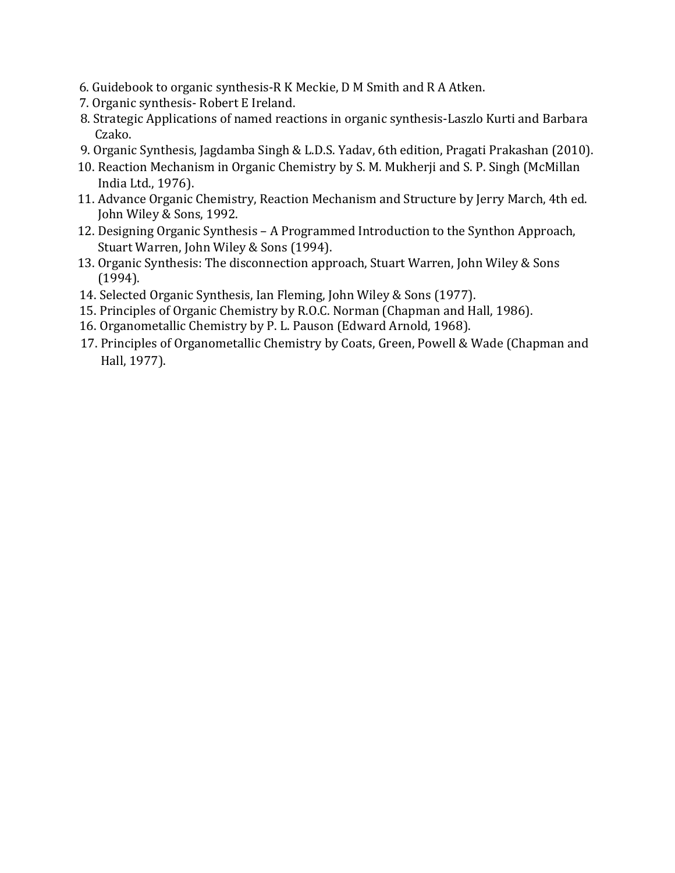- 6. Guidebook to organic synthesis-R K Meckie, D M Smith and R A Atken.
- 7. Organic synthesis- Robert E Ireland.
- 8. Strategic Applications of named reactions in organic synthesis-Laszlo Kurti and Barbara Czako.
- 9. Organic Synthesis, Jagdamba Singh & L.D.S. Yadav, 6th edition, Pragati Prakashan (2010).
- 10. Reaction Mechanism in Organic Chemistry by S. M. Mukherji and S. P. Singh (McMillan India Ltd., 1976).
- 11. Advance Organic Chemistry, Reaction Mechanism and Structure by Jerry March, 4th ed. John Wiley & Sons, 1992.
- 12. Designing Organic Synthesis A Programmed Introduction to the Synthon Approach, Stuart Warren, John Wiley & Sons (1994).
- 13. Organic Synthesis: The disconnection approach, Stuart Warren, John Wiley & Sons (1994).
- 14. Selected Organic Synthesis, Ian Fleming, John Wiley & Sons (1977).
- 15. Principles of Organic Chemistry by R.O.C. Norman (Chapman and Hall, 1986).
- 16. Organometallic Chemistry by P. L. Pauson (Edward Arnold, 1968).
- 17. Principles of Organometallic Chemistry by Coats, Green, Powell & Wade (Chapman and Hall, 1977).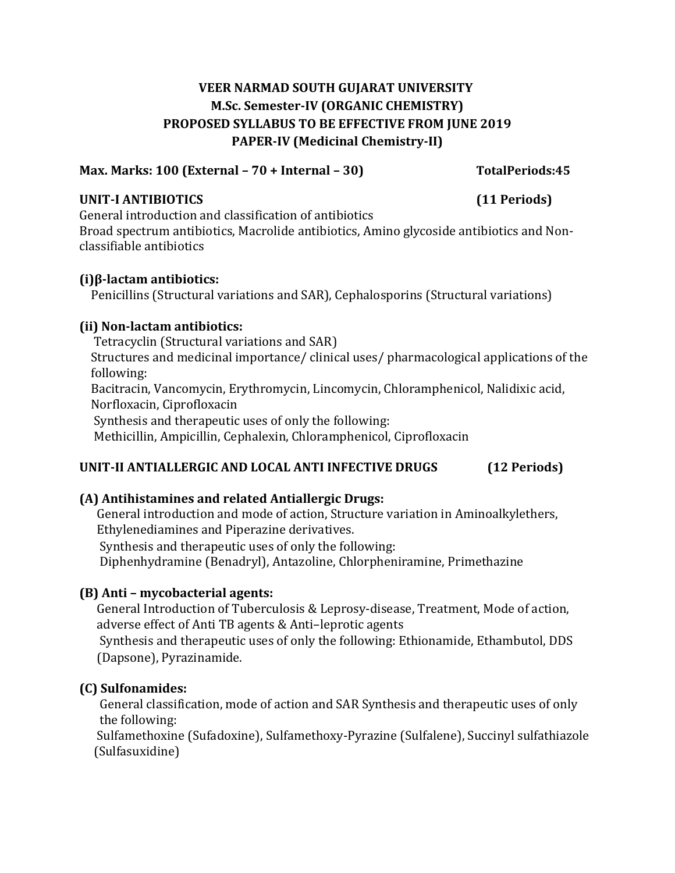# **VEER NARMAD SOUTH GUJARAT UNIVERSITY M.Sc. Semester-IV (ORGANIC CHEMISTRY) PROPOSED SYLLABUS TO BE EFFECTIVE FROM JUNE 2019 PAPER-IV (Medicinal Chemistry-II)**

#### **Max. Marks: 100 (External – 70 + Internal – 30) TotalPeriods:45**

#### **UNIT-I ANTIBIOTICS (11 Periods)**

General introduction and classification of antibiotics Broad spectrum antibiotics, Macrolide antibiotics, Amino glycoside antibiotics and Nonclassifiable antibiotics

#### **(i)β-lactam antibiotics:**

Penicillins (Structural variations and SAR), Cephalosporins (Structural variations)

### **(ii) Non-lactam antibiotics:**

 Tetracyclin (Structural variations and SAR) Structures and medicinal importance/ clinical uses/ pharmacological applications of the following: Bacitracin, Vancomycin, Erythromycin, Lincomycin, Chloramphenicol, Nalidixic acid, Norfloxacin, Ciprofloxacin Synthesis and therapeutic uses of only the following: Methicillin, Ampicillin, Cephalexin, Chloramphenicol, Ciprofloxacin

### **UNIT-II ANTIALLERGIC AND LOCAL ANTI INFECTIVE DRUGS (12 Periods)**

### **(A) Antihistamines and related Antiallergic Drugs:**

 General introduction and mode of action, Structure variation in Aminoalkylethers, Ethylenediamines and Piperazine derivatives.

Synthesis and therapeutic uses of only the following:

Diphenhydramine (Benadryl), Antazoline, Chlorpheniramine, Primethazine

### **(B) Anti – mycobacterial agents:**

 General Introduction of Tuberculosis & Leprosy-disease, Treatment, Mode of action, adverse effect of Anti TB agents & Anti–leprotic agents Synthesis and therapeutic uses of only the following: Ethionamide, Ethambutol, DDS (Dapsone), Pyrazinamide.

### **(C) Sulfonamides:**

 General classification, mode of action and SAR Synthesis and therapeutic uses of only the following:

 Sulfamethoxine (Sufadoxine), Sulfamethoxy-Pyrazine (Sulfalene), Succinyl sulfathiazole (Sulfasuxidine)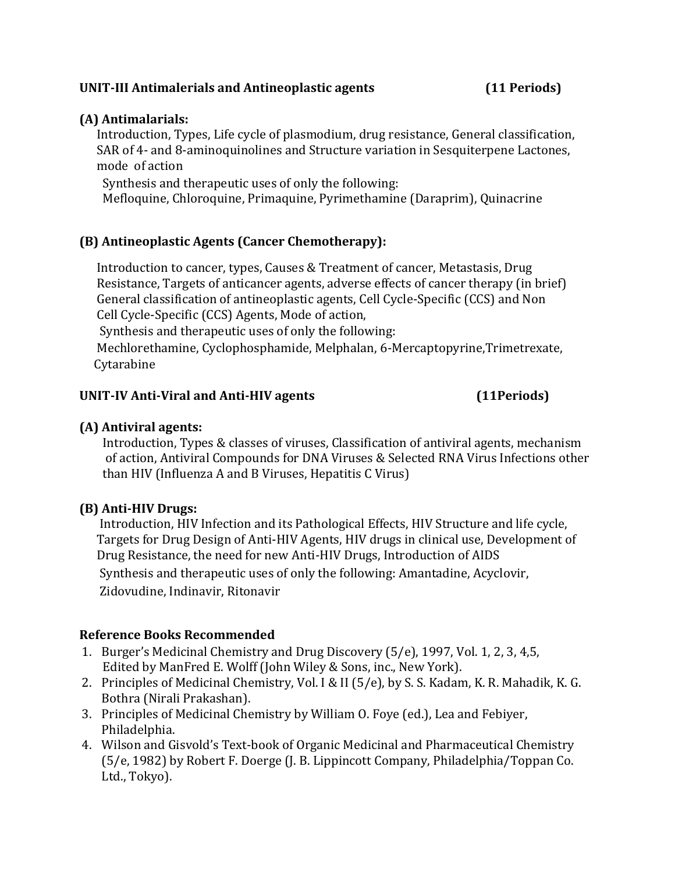#### **UNIT-III Antimalerials and Antineoplastic agents (11 Periods)**

#### **(A) Antimalarials:**

 Introduction, Types, Life cycle of plasmodium, drug resistance, General classification, SAR of 4- and 8-aminoquinolines and Structure variation in Sesquiterpene Lactones, mode of action

Synthesis and therapeutic uses of only the following:

Mefloquine, Chloroquine, Primaquine, Pyrimethamine (Daraprim), Quinacrine

## **(B) Antineoplastic Agents (Cancer Chemotherapy):**

 Introduction to cancer, types, Causes & Treatment of cancer, Metastasis, Drug Resistance, Targets of anticancer agents, adverse effects of cancer therapy (in brief) General classification of antineoplastic agents, Cell Cycle-Specific (CCS) and Non Cell Cycle-Specific (CCS) Agents, Mode of action,

Synthesis and therapeutic uses of only the following:

 Mechlorethamine, Cyclophosphamide, Melphalan, 6-Mercaptopyrine,Trimetrexate, Cytarabine

#### **UNIT-IV Anti-Viral and Anti-HIV agents (11Periods)**

### **(A) Antiviral agents:**

 Introduction, Types & classes of viruses, Classification of antiviral agents, mechanism of action, Antiviral Compounds for DNA Viruses & Selected RNA Virus Infections other than HIV (Influenza A and B Viruses, Hepatitis C Virus)

### **(B) Anti-HIV Drugs:**

 Introduction, HIV Infection and its Pathological Effects, HIV Structure and life cycle, Targets for Drug Design of Anti-HIV Agents, HIV drugs in clinical use, Development of Drug Resistance, the need for new Anti-HIV Drugs, Introduction of AIDS Synthesis and therapeutic uses of only the following: Amantadine, Acyclovir, Zidovudine, Indinavir, Ritonavir

- 1. Burger's Medicinal Chemistry and Drug Discovery (5/e), 1997, Vol. 1, 2, 3, 4,5, Edited by ManFred E. Wolff (John Wiley & Sons, inc., New York).
- 2. Principles of Medicinal Chemistry, Vol. I & II (5/e), by S. S. Kadam, K. R. Mahadik, K. G. Bothra (Nirali Prakashan).
- 3. Principles of Medicinal Chemistry by William O. Foye (ed.), Lea and Febiyer, Philadelphia.
- 4. Wilson and Gisvold's Text-book of Organic Medicinal and Pharmaceutical Chemistry (5/e, 1982) by Robert F. Doerge (J. B. Lippincott Company, Philadelphia/Toppan Co. Ltd., Tokyo).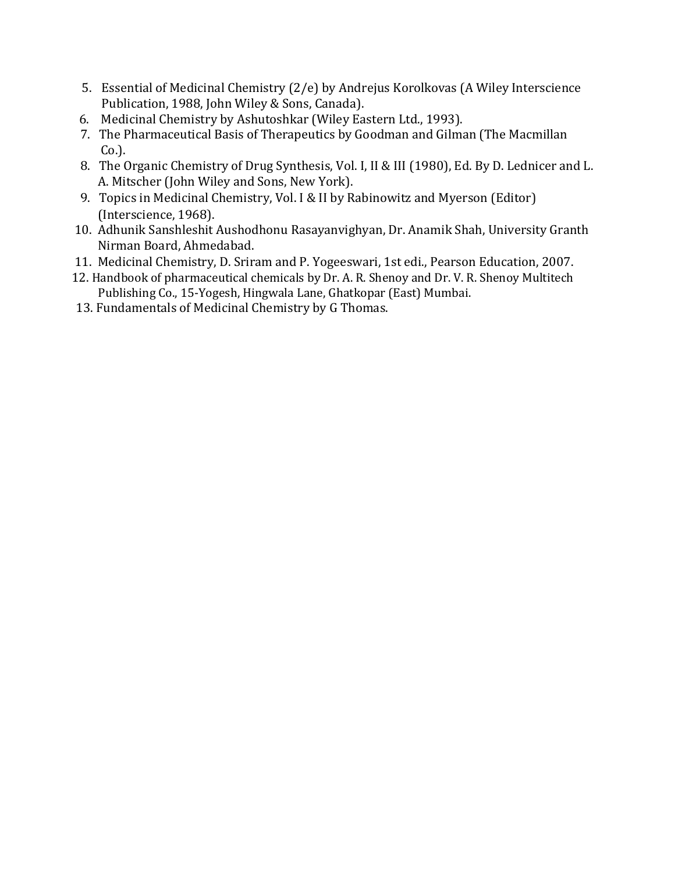- 5. Essential of Medicinal Chemistry (2/e) by Andrejus Korolkovas (A Wiley Interscience Publication, 1988, John Wiley & Sons, Canada).
- 6. Medicinal Chemistry by Ashutoshkar (Wiley Eastern Ltd., 1993).
- 7. The Pharmaceutical Basis of Therapeutics by Goodman and Gilman (The Macmillan Co.).
- 8. The Organic Chemistry of Drug Synthesis, Vol. I, II & III (1980), Ed. By D. Lednicer and L. A. Mitscher (John Wiley and Sons, New York).
- 9. Topics in Medicinal Chemistry, Vol. I & II by Rabinowitz and Myerson (Editor) (Interscience, 1968).
- 10. Adhunik Sanshleshit Aushodhonu Rasayanvighyan, Dr. Anamik Shah, University Granth Nirman Board, Ahmedabad.
- 11. Medicinal Chemistry, D. Sriram and P. Yogeeswari, 1st edi., Pearson Education, 2007.
- 12. Handbook of pharmaceutical chemicals by Dr. A. R. Shenoy and Dr. V. R. Shenoy Multitech Publishing Co., 15-Yogesh, Hingwala Lane, Ghatkopar (East) Mumbai.
- 13. Fundamentals of Medicinal Chemistry by G Thomas.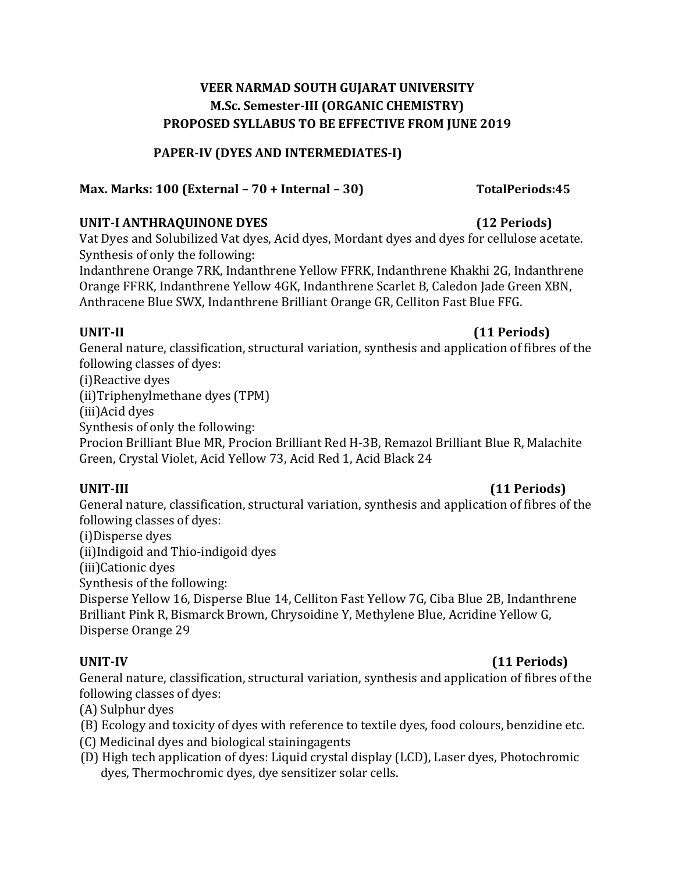#### **PAPER-IV (DYES AND INTERMEDIATES-I)**

### **Max. Marks: 100 (External – 70 + Internal – 30) TotalPeriods:45**

#### **UNIT-I ANTHRAQUINONE DYES (12 Periods)**

Vat Dyes and Solubilized Vat dyes, Acid dyes, Mordant dyes and dyes for cellulose acetate. Synthesis of only the following:

Indanthrene Orange 7RK, Indanthrene Yellow FFRK, Indanthrene Khakhi 2G, Indanthrene Orange FFRK, Indanthrene Yellow 4GK, Indanthrene Scarlet B, Caledon Jade Green XBN, Anthracene Blue SWX, Indanthrene Brilliant Orange GR, Celliton Fast Blue FFG.

#### **UNIT-II (11 Periods)**

General nature, classification, structural variation, synthesis and application of fibres of the following classes of dyes:

(i)Reactive dyes

(ii)Triphenylmethane dyes (TPM)

(iii)Acid dyes

Synthesis of only the following:

Procion Brilliant Blue MR, Procion Brilliant Red H-3B, Remazol Brilliant Blue R, Malachite Green, Crystal Violet, Acid Yellow 73, Acid Red 1, Acid Black 24

### **UNIT-III (11 Periods)**

General nature, classification, structural variation, synthesis and application of fibres of the following classes of dyes:

(i)Disperse dyes

(ii)Indigoid and Thio-indigoid dyes

(iii)Cationic dyes

Synthesis of the following:

Disperse Yellow 16, Disperse Blue 14, Celliton Fast Yellow 7G, Ciba Blue 2B, Indanthrene Brilliant Pink R, Bismarck Brown, Chrysoidine Y, Methylene Blue, Acridine Yellow G, Disperse Orange 29

### **UNIT-IV (11 Periods)**

General nature, classification, structural variation, synthesis and application of fibres of the following classes of dyes:

- (A) Sulphur dyes
- (B) Ecology and toxicity of dyes with reference to textile dyes, food colours, benzidine etc.
- (C) Medicinal dyes and biological stainingagents
- (D) High tech application of dyes: Liquid crystal display (LCD), Laser dyes, Photochromic dyes, Thermochromic dyes, dye sensitizer solar cells.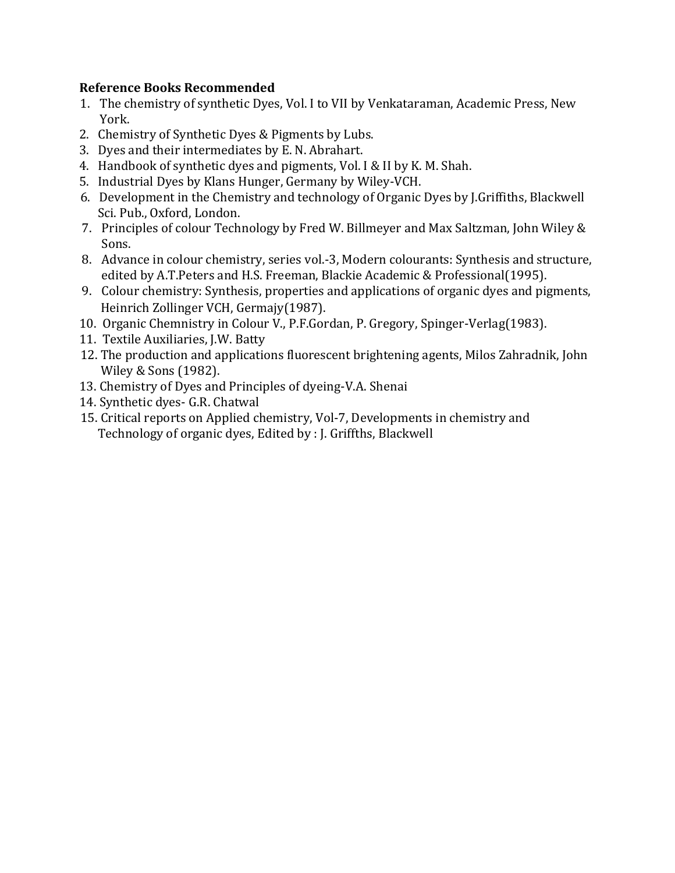- 1. The chemistry of synthetic Dyes, Vol. I to VII by Venkataraman, Academic Press, New York.
- 2. Chemistry of Synthetic Dyes & Pigments by Lubs.
- 3. Dyes and their intermediates by E. N. Abrahart.
- 4. Handbook of synthetic dyes and pigments, Vol. I & II by K. M. Shah.
- 5. Industrial Dyes by Klans Hunger, Germany by Wiley-VCH.
- 6. Development in the Chemistry and technology of Organic Dyes by J.Griffiths, Blackwell Sci. Pub., Oxford, London.
- 7. Principles of colour Technology by Fred W. Billmeyer and Max Saltzman, John Wiley & Sons.
- 8. Advance in colour chemistry, series vol.-3, Modern colourants: Synthesis and structure, edited by A.T.Peters and H.S. Freeman, Blackie Academic & Professional(1995).
- 9. Colour chemistry: Synthesis, properties and applications of organic dyes and pigments, Heinrich Zollinger VCH, Germajy(1987).
- 10. Organic Chemnistry in Colour V., P.F.Gordan, P. Gregory, Spinger-Verlag(1983).
- 11. Textile Auxiliaries, J.W. Batty
- 12. The production and applications fluorescent brightening agents, Milos Zahradnik, John Wiley & Sons (1982).
- 13. Chemistry of Dyes and Principles of dyeing-V.A. Shenai
- 14. Synthetic dyes- G.R. Chatwal
- 15. Critical reports on Applied chemistry, Vol-7, Developments in chemistry and Technology of organic dyes, Edited by : J. Griffths, Blackwell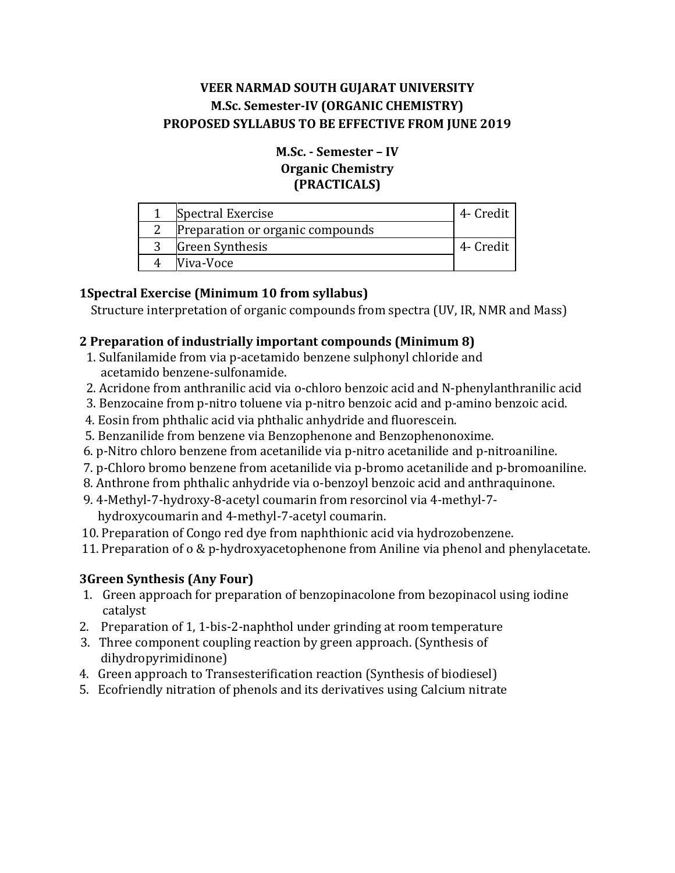### **M.Sc. - Semester – IV Organic Chemistry (PRACTICALS)**

| Spectral Exercise                | 4- Credit |
|----------------------------------|-----------|
| Preparation or organic compounds |           |
| Green Synthesis                  | 4- Credit |
| Viva-Voce                        |           |

## **1Spectral Exercise (Minimum 10 from syllabus)**

Structure interpretation of organic compounds from spectra (UV, IR, NMR and Mass)

### **2 Preparation of industrially important compounds (Minimum 8)**

- 1. Sulfanilamide from via p-acetamido benzene sulphonyl chloride and acetamido benzene-sulfonamide.
- 2. Acridone from anthranilic acid via o-chloro benzoic acid and N-phenylanthranilic acid
- 3. Benzocaine from p-nitro toluene via p-nitro benzoic acid and p-amino benzoic acid.
- 4. Eosin from phthalic acid via phthalic anhydride and fluorescein.
- 5. Benzanilide from benzene via Benzophenone and Benzophenonoxime.
- 6. p-Nitro chloro benzene from acetanilide via p-nitro acetanilide and p-nitroaniline.
- 7. p-Chloro bromo benzene from acetanilide via p-bromo acetanilide and p-bromoaniline.
- 8. Anthrone from phthalic anhydride via o-benzoyl benzoic acid and anthraquinone.
- 9. 4-Methyl-7-hydroxy-8-acetyl coumarin from resorcinol via 4-methyl-7 hydroxycoumarin and 4-methyl-7-acetyl coumarin.
- 10. Preparation of Congo red dye from naphthionic acid via hydrozobenzene.
- 11. Preparation of o & p-hydroxyacetophenone from Aniline via phenol and phenylacetate.

# **3Green Synthesis (Any Four)**

- 1. Green approach for preparation of benzopinacolone from bezopinacol using iodine catalyst
- 2. Preparation of 1, 1-bis-2-naphthol under grinding at room temperature
- 3. Three component coupling reaction by green approach. (Synthesis of dihydropyrimidinone)
- 4. Green approach to Transesterification reaction (Synthesis of biodiesel)
- 5. Ecofriendly nitration of phenols and its derivatives using Calcium nitrate